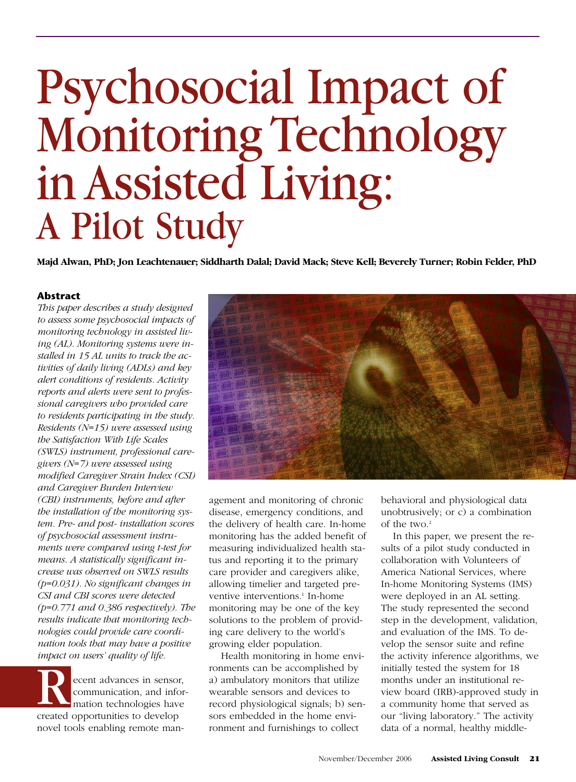# Psychosocial Impact of Monitoring Technology in Assisted Living: A Pilot Study

**Majd Alwan, PhD; Jon Leachtenauer; Siddharth Dalal; David Mack; Steve Kell; Beverely Turner; Robin Felder, PhD**

# **Abstract**

*This paper describes a study designed to assess some psychosocial impacts of monitoring technology in assisted living (AL). Monitoring systems were installed in 15 AL units to track the activities of daily living (ADLs) and key alert conditions of residents. Activity reports and alerts were sent to professional caregivers who provided care to residents participating in the study. Residents (N=15) were assessed using the Satisfaction With Life Scales (SWLS) instrument, professional caregivers (N=7) were assessed using modified Caregiver Strain Index (CSI) and Caregiver Burden Interview (CBI) instruments, before and after the installation of the monitoring system. Pre- and post- installation scores of psychosocial assessment instruments were compared using t-test for means. A statistically significant increase was observed on SWLS results (p=0.031). No significant changes in CSI and CBI scores were detected (p=0.771 and 0.386 respectively). The results indicate that monitoring technologies could provide care coordination tools that may have a positive impact on users' quality of life.*

Recent advances in sensor,<br>communication, and information technologies have communication, and information technologies have created opportunities to develop novel tools enabling remote man-



agement and monitoring of chronic disease, emergency conditions, and the delivery of health care. In-home monitoring has the added benefit of measuring individualized health status and reporting it to the primary care provider and caregivers alike, allowing timelier and targeted preventive interventions. <sup>1</sup> In-home monitoring may be one of the key solutions to the problem of providing care delivery to the world's growing elder population.

Health monitoring in home environments can be accomplished by a) ambulatory monitors that utilize wearable sensors and devices to record physiological signals; b) sensors embedded in the home environment and furnishings to collect

behavioral and physiological data unobtrusively; or c) a combination of the two. 2

In this paper, we present the results of a pilot study conducted in collaboration with Volunteers of America National Services, where In-home Monitoring Systems (IMS) were deployed in an AL setting. The study represented the second step in the development, validation, and evaluation of the IMS. To develop the sensor suite and refine the activity inference algorithms, we initially tested the system for 18 months under an institutional review board (IRB)-approved study in a community home that served as our "living laboratory." The activity data of a normal, healthy middle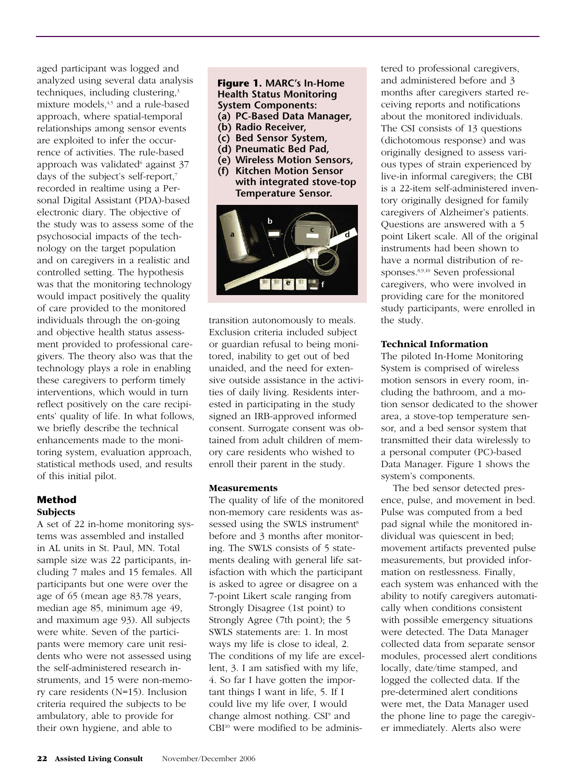aged participant was logged and analyzed using several data analysis techniques, including clustering.<sup>3</sup> mixture models.<sup>4,5</sup> and a rule-based approach, where spatial-temporal relationships among sensor events are exploited to infer the occurrence of activities. The rule-based approach was validated $6$  against 37 days of the subject's self-report, 7 recorded in realtime using a Personal Digital Assistant (PDA)-based electronic diary. The objective of the study was to assess some of the psychosocial impacts of the technology on the target population and on caregivers in a realistic and controlled setting. The hypothesis was that the monitoring technology would impact positively the quality of care provided to the monitored individuals through the on-going and objective health status assessment provided to professional caregivers. The theory also was that the technology plays a role in enabling these caregivers to perform timely interventions, which would in turn reflect positively on the care recipients' quality of life. In what follows, we briefly describe the technical enhancements made to the monitoring system, evaluation approach, statistical methods used, and results of this initial pilot.

# **Method Subjects**

A set of 22 in-home monitoring systems was assembled and installed in AL units in St. Paul, MN. Total sample size was 22 participants, including 7 males and 15 females. All participants but one were over the age of 65 (mean age 83.78 years, median age 85, minimum age 49, and maximum age 93). All subjects were white. Seven of the participants were memory care unit residents who were not assessed using the self-administered research instruments, and 15 were non-memory care residents (N=15). Inclusion criteria required the subjects to be ambulatory, able to provide for their own hygiene, and able to

### **Figure 1. MARC's In-Home Health Status Monitoring System Components: (a) PC-Based Data Manager,**

- **(b) Radio Receiver,**
- **(c) Bed Sensor System,**
- **(d) Pneumatic Bed Pad,**
- **(e) Wireless Motion Sensors,**
- **(f) Kitchen Motion Sensor with integrated stove-top Temperature Sensor.**



transition autonomously to meals. Exclusion criteria included subject or guardian refusal to being monitored, inability to get out of bed unaided, and the need for extensive outside assistance in the activities of daily living. Residents interested in participating in the study signed an IRB-approved informed consent. Surrogate consent was obtained from adult children of memory care residents who wished to enroll their parent in the study.

# **Measurements**

The quality of life of the monitored non-memory care residents was assessed using the SWLS instrument<sup>8</sup> before and 3 months after monitoring. The SWLS consists of 5 statements dealing with general life satisfaction with which the participant is asked to agree or disagree on a 7-point Likert scale ranging from Strongly Disagree (1st point) to Strongly Agree (7th point); the 5 SWLS statements are: 1. In most ways my life is close to ideal, 2. The conditions of my life are excellent, 3. I am satisfied with my life, 4. So far I have gotten the important things I want in life, 5. If I could live my life over, I would change almost nothing. CSI<sup>9</sup> and CBI<sup>10</sup> were modified to be administered to professional caregivers, and administered before and 3 months after caregivers started receiving reports and notifications about the monitored individuals. The CSI consists of 13 questions (dichotomous response) and was originally designed to assess various types of strain experienced by live-in informal caregivers; the CBI is a 22-item self-administered inventory originally designed for family caregivers of Alzheimer's patients. Questions are answered with a 5 point Likert scale. All of the original instruments had been shown to have a normal distribution of responses.<sup>8,9,10</sup> Seven professional caregivers, who were involved in providing care for the monitored study participants, were enrolled in the study.

# **Technical Information**

The piloted In-Home Monitoring System is comprised of wireless motion sensors in every room, including the bathroom, and a motion sensor dedicated to the shower area, a stove-top temperature sensor, and a bed sensor system that transmitted their data wirelessly to a personal computer (PC)-based Data Manager. Figure 1 shows the system's components.

The bed sensor detected presence, pulse, and movement in bed. Pulse was computed from a bed pad signal while the monitored individual was quiescent in bed; movement artifacts prevented pulse measurements, but provided information on restlessness. Finally, each system was enhanced with the ability to notify caregivers automatically when conditions consistent with possible emergency situations were detected. The Data Manager collected data from separate sensor modules, processed alert conditions locally, date/time stamped, and logged the collected data. If the pre-determined alert conditions were met, the Data Manager used the phone line to page the caregiver immediately. Alerts also were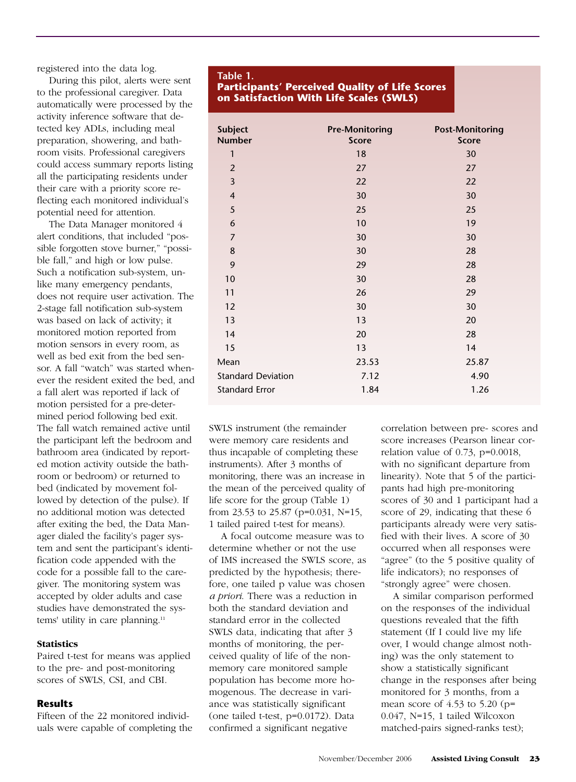registered into the data log.

During this pilot, alerts were sent to the professional caregiver. Data automatically were processed by the activity inference software that detected key ADLs, including meal preparation, showering, and bathroom visits. Professional caregivers could access summary reports listing all the participating residents under their care with a priority score reflecting each monitored individual's potential need for attention.

The Data Manager monitored 4 alert conditions, that included "possible forgotten stove burner," "possible fall," and high or low pulse. Such a notification sub-system, unlike many emergency pendants, does not require user activation. The 2-stage fall notification sub-system was based on lack of activity; it monitored motion reported from motion sensors in every room, as well as bed exit from the bed sensor. A fall "watch" was started whenever the resident exited the bed, and a fall alert was reported if lack of motion persisted for a pre-determined period following bed exit. The fall watch remained active until the participant left the bedroom and bathroom area (indicated by reported motion activity outside the bathroom or bedroom) or returned to bed (indicated by movement followed by detection of the pulse). If no additional motion was detected after exiting the bed, the Data Manager dialed the facility's pager system and sent the participant's identification code appended with the code for a possible fall to the caregiver. The monitoring system was accepted by older adults and case studies have demonstrated the systems' utility in care planning.<sup>11</sup>

#### **Statistics**

Paired t-test for means was applied to the pre- and post-monitoring scores of SWLS, CSI, and CBI.

#### **Results**

Fifteen of the 22 monitored individuals were capable of completing the

#### **Table 1.**

**Participants' Perceived Quality of Life Scores on Satisfaction With Life Scales (SWLS)**

| <b>Subject</b><br><b>Number</b> | <b>Pre-Monitoring</b><br><b>Score</b> | <b>Post-Monitoring</b><br><b>Score</b> |
|---------------------------------|---------------------------------------|----------------------------------------|
| 1                               | 18                                    | 30                                     |
| $\overline{2}$                  | 27                                    | 27                                     |
| $\overline{\mathbf{3}}$         | 22                                    | 22                                     |
| $\overline{\mathbf{4}}$         | 30                                    | 30                                     |
| 5                               | 25                                    | 25                                     |
| 6                               | 10                                    | 19                                     |
| $\overline{7}$                  | 30                                    | 30                                     |
| 8                               | 30                                    | 28                                     |
| 9                               | 29                                    | 28                                     |
| 10                              | 30                                    | 28                                     |
| 11                              | 26                                    | 29                                     |
| 12                              | 30                                    | 30                                     |
| 13                              | 13                                    | 20                                     |
| 14                              | 20                                    | 28                                     |
| 15                              | 13                                    | 14                                     |
| Mean                            | 23.53                                 | 25.87                                  |
| <b>Standard Deviation</b>       | 7.12                                  | 4.90                                   |
| <b>Standard Error</b>           | 1.84                                  | 1.26                                   |

SWLS instrument (the remainder were memory care residents and thus incapable of completing these instruments). After 3 months of monitoring, there was an increase in the mean of the perceived quality of life score for the group (Table 1) from 23.53 to 25.87 (p=0.031, N=15, 1 tailed paired t-test for means).

A focal outcome measure was to determine whether or not the use of IMS increased the SWLS score, as predicted by the hypothesis; therefore, one tailed p value was chosen *a priori*. There was a reduction in both the standard deviation and standard error in the collected SWLS data, indicating that after 3 months of monitoring, the perceived quality of life of the nonmemory care monitored sample population has become more homogenous. The decrease in variance was statistically significant (one tailed t-test, p=0.0172). Data confirmed a significant negative

correlation between pre- scores and score increases (Pearson linear correlation value of 0.73, p=0.0018, with no significant departure from linearity). Note that 5 of the participants had high pre-monitoring scores of 30 and 1 participant had a score of 29, indicating that these 6 participants already were very satisfied with their lives. A score of 30 occurred when all responses were "agree" (to the 5 positive quality of life indicators); no responses of "strongly agree" were chosen.

A similar comparison performed on the responses of the individual questions revealed that the fifth statement (If I could live my life over, I would change almost nothing) was the only statement to show a statistically significant change in the responses after being monitored for 3 months, from a mean score of  $4.53$  to  $5.20$  (p= 0.047, N=15, 1 tailed Wilcoxon matched-pairs signed-ranks test);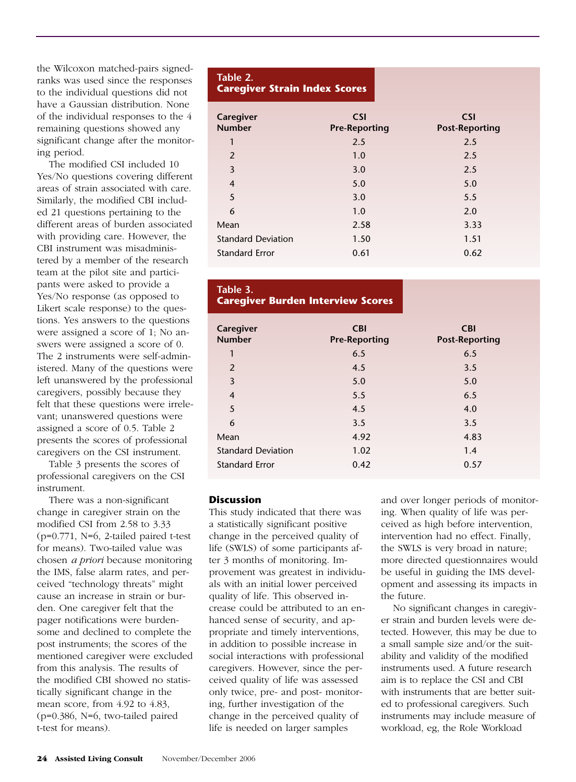the Wilcoxon matched-pairs signedranks was used since the responses to the individual questions did not have a Gaussian distribution. None of the individual responses to the 4 remaining questions showed any significant change after the monitoring period.

The modified CSI included 10 Yes/No questions covering different areas of strain associated with care. Similarly, the modified CBI included 21 questions pertaining to the different areas of burden associated with providing care. However, the CBI instrument was misadministered by a member of the research team at the pilot site and participants were asked to provide a Yes/No response (as opposed to Likert scale response) to the questions. Yes answers to the questions were assigned a score of 1; No answers were assigned a score of 0. The 2 instruments were self-administered. Many of the questions were left unanswered by the professional caregivers, possibly because they felt that these questions were irrelevant; unanswered questions were assigned a score of 0.5. Table 2 presents the scores of professional caregivers on the CSI instrument.

Table 3 presents the scores of professional caregivers on the CSI instrument.

There was a non-significant change in caregiver strain on the modified CSI from 2.58 to 3.33 (p=0.771, N=6, 2-tailed paired t-test for means). Two-tailed value was chosen *a priori* because monitoring the IMS, false alarm rates, and perceived "technology threats" might cause an increase in strain or burden. One caregiver felt that the pager notifications were burdensome and declined to complete the post instruments; the scores of the mentioned caregiver were excluded from this analysis. The results of the modified CBI showed no statistically significant change in the mean score, from 4.92 to 4.83, (p=0.386, N=6, two-tailed paired t-test for means).

#### **Table 2. Caregiver Strain Index Scores**

| Caregiver<br><b>Number</b> | <b>CSI</b><br><b>Pre-Reporting</b> | <b>CSI</b><br><b>Post-Reporting</b> |
|----------------------------|------------------------------------|-------------------------------------|
| 1                          | 2.5                                | 2.5                                 |
| 2                          | 1.0                                | 2.5                                 |
| 3                          | 3.0                                | 2.5                                 |
| $\overline{4}$             | 5.0                                | 5.0                                 |
| 5                          | 3.0                                | 5.5                                 |
| 6                          | 1.0                                | 2.0                                 |
| Mean                       | 2.58                               | 3.33                                |
| <b>Standard Deviation</b>  | 1.50                               | 1.51                                |
| <b>Standard Error</b>      | 0.61                               | 0.62                                |

# **Table 3. Caregiver Burden Interview Scores**

| Caregiver<br><b>Number</b> | <b>CBI</b><br><b>Pre-Reporting</b> | <b>CBI</b><br><b>Post-Reporting</b> |
|----------------------------|------------------------------------|-------------------------------------|
| 1                          | 6.5                                | 6.5                                 |
| 2                          | 4.5                                | 3.5                                 |
| 3                          | 5.0                                | 5.0                                 |
| $\overline{4}$             | 5.5                                | 6.5                                 |
| 5                          | 4.5                                | 4.0                                 |
| 6                          | 3.5                                | 3.5                                 |
| Mean                       | 4.92                               | 4.83                                |
| <b>Standard Deviation</b>  | 1.02                               | 1.4                                 |
| <b>Standard Error</b>      | 0.42                               | 0.57                                |

# **Discussion**

This study indicated that there was a statistically significant positive change in the perceived quality of life (SWLS) of some participants after 3 months of monitoring. Improvement was greatest in individuals with an initial lower perceived quality of life. This observed increase could be attributed to an enhanced sense of security, and appropriate and timely interventions, in addition to possible increase in social interactions with professional caregivers. However, since the perceived quality of life was assessed only twice, pre- and post- monitoring, further investigation of the change in the perceived quality of life is needed on larger samples

and over longer periods of monitoring. When quality of life was perceived as high before intervention, intervention had no effect. Finally, the SWLS is very broad in nature; more directed questionnaires would be useful in guiding the IMS development and assessing its impacts in the future.

No significant changes in caregiver strain and burden levels were detected. However, this may be due to a small sample size and/or the suitability and validity of the modified instruments used. A future research aim is to replace the CSI and CBI with instruments that are better suited to professional caregivers. Such instruments may include measure of workload, eg, the Role Workload